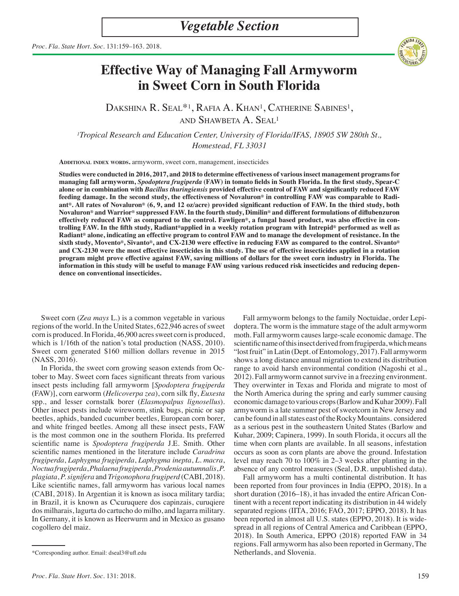

# **Effective Way of Managing Fall Armyworm in Sweet Corn in South Florida**

DAKSHINA R. SEAL<sup>\*1</sup>, RAFIA A. KHAN<sup>1</sup>, CATHERINE SABINES<sup>1</sup>, and Shawbeta A. Seal1

*1Tropical Research and Education Center, University of Florida/IFAS, 18905 SW 280th St., Homestead, FL 33031*

**Additional index words.** armyworm, sweet corn, management, insecticides

**Studies were conducted in 2016, 2017, and 2018 to determine effectiveness of various insect management programs for managing fall armyworm,** *Spodoptera frugiperda* **(FAW) in tomato fields in South Florida. In the first study, Spear-C alone or in combination with** *Bacillus thuringiensis* **provided effective control of FAW and significantly reduced FAW feeding damage. In the second study, the effectiveness of Novaluron® in controlling FAW was comparable to Radiant®. All rates of Novaluron® (6, 9, and 12 oz/acre) provided significant reduction of FAW. In the third study, both Novaluron® and Warrior® suppressed FAW. In the fourth study, Dimilin® and different formulations of diflubenzuron effectively reduced FAW as compared to the control. Fawligen®, a fungal based product, was also effective in controlling FAW. In the fifth study, Radiant®applied in a weekly rotation program with Intrepid® performed as well as Radiant® alone, indicating an effective program to control FAW and to manage the development of resistance. In the sixth study, Movento®, Sivanto®, and CX-2130 were effective in reducing FAW as compared to the control. Sivanto® and CX-2130 were the most effective insecticides in this study. The use of effective insecticides applied in a rotation program might prove effective against FAW, saving millions of dollars for the sweet corn industry in Florida. The information in this study will be useful to manage FAW using various reduced risk insecticides and reducing dependence on conventional insecticides.** 

Sweet corn (*Zea mays* L.) is a common vegetable in various regions of the world. In the United States, 622,946 acres of sweet corn is produced. In Florida, 46,900 acres sweet corn is produced, which is  $1/16$ th of the nation's total production (NASS, 2010). Sweet corn generated \$160 million dollars revenue in 2015 (NASS, 2016).

In Florida, the sweet corn growing season extends from October to May. Sweet corn faces significant threats from various insect pests including fall armyworm [*Spodoptera frugiperda*  (FAW)], corn earworm (*Helicoverpa zea*), corn silk fly, *Euxesta* spp., and lesser cornstalk borer (*Elasmopalpus lignosellus*). Other insect pests include wireworm, stink bugs, picnic or sap beetles, aphids, banded cucumber beetles, European corn borer, and white fringed beetles. Among all these insect pests, FAW is the most common one in the southern Florida. Its preferred scientific name is *Spodoptera frugiperda* J.E. Smith. Other scientific names mentioned in the literature include *Caradrina frugiperda*, *Laphygma frugiperda*, *Laphygma inepta*, *L. macra*, *Noctua frugiperda*, *Phalaena frugiperda*, *Prodenia autumnalis*, *P. plagiata*, *P. signifera* and *Trigonophora frugiperd* (CABI, 2018). Like scientific names, fall armyworm has various local names (CABI, 2018). In Argentian it is known as isoca military tardia; in Brazil, it is known as C\curuquere dos capinzais, curuqiere dos milharais, lagurta do cartucho do milho, and lagarra military. In Germany, it is known as Heerwurm and in Mexico as gusano cogollero del maiz.

Fall armyworm belongs to the family Noctuidae, order Lepidoptera. The worm is the immature stage of the adult armyworm moth. Fall armyworm causes large-scale economic damage. The scientific name of this insect derived from frugiperda, which means "lost fruit" in Latin (Dept. of Entomology, 2017). Fall armyworm shows a long distance annual migration to extend its distribution range to avoid harsh environmental condition (Nagoshi et al., 2012). Fall armyworm cannot survive in a freezing environment. They overwinter in Texas and Florida and migrate to most of the North America during the spring and early summer causing economic damage to various crops (Barlow and Kuhar 2009). Fall armyworm is a late summer pest of sweetcorn in New Jersey and can be found in all states east of the Rocky Mountains. considered as a serious pest in the southeastern United States (Barlow and Kuhar, 2009; Capinera, 1999). In south Florida, it occurs all the time when corn plants are available. In all seasons, infestation occurs as soon as corn plants are above the ground. Infestation level may reach 70 to 100% in 2–3 weeks after planting in the absence of any control measures (Seal, D.R. unpublished data).

Fall armyworm has a multi continental distribution. It has been reported from four provinces in India (EPPO, 2018). In a short duration (2016–18), it has invaded the entire African Continent with a recent report indicating its distribution in 44 widely separated regions (IITA, 2016; FAO, 2017; EPPO, 2018). It has been reported in almost all U.S. states (EPPO, 2018). It is widespread in all regions of Central America and Caribbean (EPPO, 2018). In South America, EPPO (2018) reported FAW in 34 regions. Fall armyworm has also been reported in Germany, The Netherlands, and Slovenia.

<sup>\*</sup>Corresponding author. Email: dseal3@ufl.edu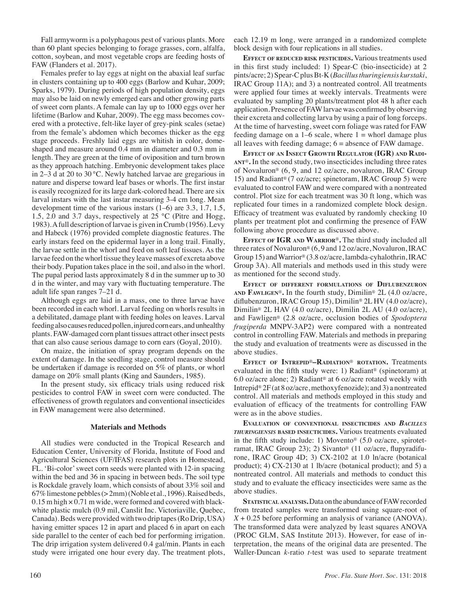Fall armyworm is a polyphagous pest of various plants. More than 60 plant species belonging to forage grasses, corn, alfalfa, cotton, soybean, and most vegetable crops are feeding hosts of FAW (Flanders et al. 2017).

Females prefer to lay eggs at night on the abaxial leaf surfac in clusters containing up to 400 eggs (Barlow and Kuhar, 2009; Sparks, 1979). During periods of high population density, eggs may also be laid on newly emerged ears and other growing parts of sweet corn plants. A female can lay up to 1000 eggs over her lifetime (Barlow and Kuhar, 2009). The egg mass becomes covered with a protective, felt-like layer of grey-pink scales (setae) from the female's abdomen which becomes thicker as the egg stage proceeds. Freshly laid eggs are whitish in color, domeshaped and measure around 0.4 mm in diameter and 0.3 mm in length. They are green at the time of oviposition and turn brown as they approach hatching. Embryonic development takes place in 2–3 d at 20 to 30 °C. Newly hatched larvae are gregarious in nature and disperse toward leaf bases or whorls. The first instar is easily recognized for its large dark-colored head. There are six larval instars with the last instar measuring 3-4 cm long. Mean development time of the various instars (1–6) are 3.3, 1.7, 1.5, 1.5, 2.0 and 3.7 days, respectively at 25 °C (Pitre and Hogg, 1983). A full description of larvae is given in Crumb (1956). Levy and Habeck (1976) provided complete diagnostic features. The early instars feed on the epidermal layer in a long trail. Finally, the larvae settle in the whorl and feed on soft leaf tissues. As the larvae feed on the whorl tissue they leave masses of excreta above their body. Pupation takes place in the soil, and also in the whorl. The pupal period lasts approximately 8 d in the summer up to 30 d in the winter, and may vary with fluctuating temperature. The adult life span ranges 7–21 d.

Although eggs are laid in a mass, one to three larvae have been recorded in each whorl. Larval feeding on whorls results in a debilitated, damage plant with feeding holes on leaves. Larval feeding also causes reduced pollen, injured corn ears, and unhealthy plants. FAW-damaged corn plant tissues attract other insect pests that can also cause serious damage to corn ears (Goyal, 2010).

On maize, the initiation of spray program depends on the extent of damage. In the seedling stage, control measure should be undertaken if damage is recorded on 5% of plants, or whorl damage on 20% small plants (King and Saunders, 1985).

In the present study, six efficacy trials using reduced risk pesticides to control FAW in sweet corn were conducted. The effectiveness of growth regulators and conventional insecticides in FAW management were also determined.

#### **Materials and Methods**

All studies were conducted in the Tropical Research and Education Center, University of Florida, Institute of Food and Agricultural Sciences (UF/IFAS) research plots in Homestead, FL. 'Bi-color' sweet corn seeds were planted with 12-in spacing within the bed and 36 in spacing in between beds. The soil type is Rockdale gravely loam, which consists of about 33% soil and 67% limestone pebbles (> 2mm) (Noble et al., 1996). Raised beds,  $0.15$  m high  $\times$  0.71 m wide, were formed and covered with blackwhite plastic mulch (0.9 mil, Canslit Inc. Victoriaville, Quebec, Canada). Beds were provided with two drip tapes (Ro Drip, USA) having emitter spaces 12 in apart and placed 6 in apart on each side parallel to the center of each bed for performing irrigation. The drip irrigation system delivered 0.4 gal/min. Plants in each study were irrigated one hour every day. The treatment plots,

each 12.19 m long, were arranged in a randomized complete block design with four replications in all studies.

**Effect of reduced risk pesticides.** Various treatments used in this first study included: 1) Spear-C (bio-insecticide) at 2 pints/acre; 2) Spear-C plus Bt-K (*Bacillus thuringiensis kurstaki*, IRAC Group 11A); and 3) a nontreated control. All treatments were applied four times at weekly intervals. Treatments were evaluated by sampling 20 plants/treatment plot 48 h after each application. Presence of FAW larvae was confirmed by observing their excreta and collecting larva by using a pair of long forceps. At the time of harvesting, sweet corn foliage was rated for FAW feeding damage on a  $1-6$  scale, where  $1 =$  whorl damage plus all leaves with feeding damage;  $6 =$  absence of FAW damage.

**Effect of an Insect Growth Regulator (IGR) and Radiant**®**.** In the second study, two insecticides including three rates of Novaluron® (6, 9, and 12 oz/acre, novaluron, IRAC Group 15) and Radiant® (7 oz/acre; spinetoram, IRAC Group 5) were evaluated to control FAW and were compared with a nontreated control. Plot size for each treatment was 30 ft long, which was replicated four times in a randomized complete block design. Efficacy of treatment was evaluated by randomly checking 10 plants per treatment plot and confirming the presence of FAW following above procedure as discussed above.

**Effect of IGR and Warrior**®**.** The third study included all three rates of Novaluron® (6, 9 and 12 oz/acre, Novaluron, IRAC Group 15) and Warrior® (3.8 oz/acre, lambda-cyhalothrin, IRAC Group 3A). All materials and methods used in this study were as mentioned for the second study.

**Effect of different formulations of Diflubenzuron and Fawligen**®**.** In the fourth study, Dimilin® 2L (4.0 oz/acre, diflubenzuron, IRAC Group 15), Dimilin® 2L HV (4.0 oz/acre), Dimilin® 2L HAV (4.0 oz/acre), Dimilin 2L AU (4.0 oz/acre), and Fawligen® (2.8 oz/acre, occlusion bodies of *Spodoptera frugiperda* MNPV-3AP2) were compared with a nontreated control in controlling FAW. Materials and methods in preparing the study and evaluation of treatments were as discussed in the above studies.

**Effect of Intrepid**®**–Radiation**® **rotation.** Treatments evaluated in the fifth study were: 1) Radiant® (spinetoram) at 6.0 oz/acre alone; 2) Radiant® at 6 oz/acre rotated weekly with Intrepid® 2F (at 8 oz/acre, methoxyfenozide); and 3) a nontreated control. All materials and methods employed in this study and evaluation of efficacy of the treatments for controlling FAW were as in the above studies.

**Evaluation of conventional insecticides and** *Bacillus thuringiensis* **based insecticides.** Various treatments evaluated in the fifth study include: 1) Movento® (5.0 oz/acre, spirotetramat, IRAC Group 23); 2) Sivanto® (11 oz/acre, flupyradifurone, IRAC Group 4D; 3) CX-2102 at 1.0 ln/acre (botanical product); 4) CX-2130 at 1 lb/acre (botanical product); and 5) a nontreated control. All materials and methods to conduct this study and to evaluate the efficacy insecticides were same as the above studies.

**Statistical analysis.** Data on the abundance of FAW recorded from treated samples were transformed using square-root of *X* + 0.25 before performing an analysis of variance (ANOVA). The transformed data were analyzed by least squares ANOVA (PROC GLM, SAS Institute 2013). However, for ease of interpretation, the means of the original data are presented. The Waller-Duncan *k*-ratio *t-*test was used to separate treatment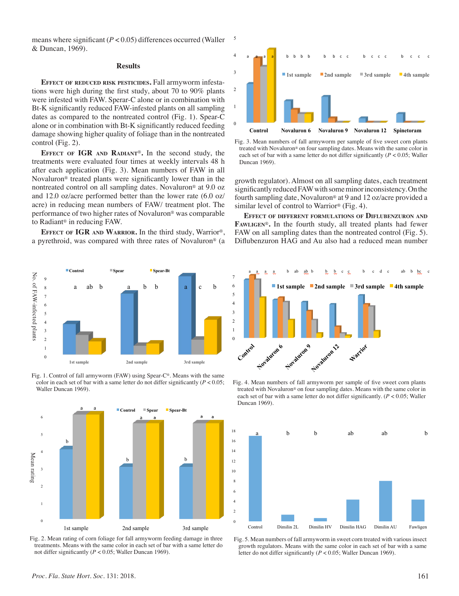means where significant (*P* < 0.05) differences occurred (Waller & Duncan, 1969).

## **Results**

**Effect of reduced risk pesticides.** Fall armyworm infestations were high during the first study, about 70 to 90% plants were infested with FAW. Sperar-C alone or in combination with Bt-K significantly reduced FAW-infested plants on all sampling dates as compared to the nontreated control (Fig. 1). Spear-C alone or in combination with Bt-K significantly reduced feeding damage showing higher quality of foliage than in the nontreated control (Fig. 2).

**Effect of IGR and Radiant**®**.** In the second study, the treatments were evaluated four times at weekly intervals 48 h after each application (Fig. 3). Mean numbers of FAW in all Novaluron® treated plants were significantly lower than in the nontreated control on all sampling dates. Novaluron® at 9.0 oz and 12.0 oz/acre performed better than the lower rate (6.0 oz/ acre) in reducing mean numbers of FAW/ treatment plot. The performance of two higher rates of Novaluron® was comparable to Radiant® in reducing FAW.  $\mathbf{F}_{\mathbf{a}}$ 

**Effect of IGR and Warrior.** In the third study, Warrior®, a pyrethroid, was compared with three rates of Novaluron® (a



Fig. 1. Control of fall armyworm (FAW) using Spear-C®. Means with the same color in each set of bar with a same letter do not differ significantly  $(P < 0.05)$ ; Waller Duncan 1969).<br>
Waller Summer color in the same letter do not differ significantly (P < 0.05; P = 0.05; Waller Duncan 1969).







treated with Novaluron<sup>®</sup> on four sampling dates. Means with the same color in each set of bar with a same letter do not differ significantly  $(P < 0.05$ ; Waller Fig. 3. Mean numbers of fall armyworm per sample of five sweet corn plants Duncan 1969).

growth regulator). Almost on all sampling dates, each treatment significantly reduced FAW with some minor inconsistency. On the fourth sampling date, Novaluron® at 9 and 12 oz/acre provided a similar level of control to Warrior® (Fig. 4).

**Effect of different formulations of Diflubenzuron and Fawligen**®**.** In the fourth study, all treated plants had fewer FAW on all sampling dates than the nontreated control (Fig. 5). Diflubenzuron HAG and Au also had a reduced mean number



 $M_{\text{H}}$  is  $\mathcal{M}_{\text{H}}$  in each numbers of the same letter do not differ significantly (P  $\mathcal{M}_{\text{H}}$  in a same letter do not differ significantly (P  $\mathcal{M}_{\text{H}}$  in a same letter do not differ significantly (P  $\mathcal$ treated with Novaluron<sup>®</sup> on four sampling dates. Means with the same color in Fig. 4. Mean numbers of fall armyworm per sample of five sweet corn plants each set of bar with a same letter do not differ significantly. (*P* < 0.05; Waller Duncan 1969).



Fig. 5. Mean numbers of fall armyworm in sweet corn treated with various insect growth regulators. Means with the same color in each set of bar with a same letter do not differ significantly (*P* < 0.05; Waller Duncan 1969).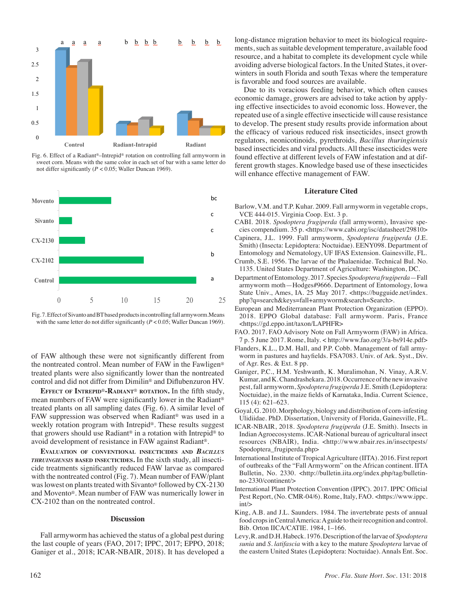

Fig. 6. Effect of a Radiant®–Intrepid® rotation on controlling fall armyworm in sweet corn. Means with the same color in each set of bar with a same letter do not differ significantly ( $P < 0.05$ ; Waller Duncan 1969).



Fig. 7. Effect of Sivanto and BT based products in controlling fall armyworm.Means with the same letter do not differ significantly  $(P < 0.05)$ ; Waller Duncan 1969).

of FAW although these were not significantly different from the nontreated control. Mean number of FAW in the Fawligen® treated plants were also significantly lower than the nontreated control and did not differ from Dimilin® and Diflubenzuron HV.

**Effect of Intrepid**®**-Radiant**® **rotation.** In the fifth study, mean numbers of FAW were significantly lower in the Radiant® treated plants on all sampling dates (Fig. 6). A similar level of FAW suppression was observed when Radiant® was used in a weekly rotation program with Intrepid®. These results suggest that growers should use Radiant® in a rotation with Intrepid® to avoid development of resistance in FAW against Radiant®.

**Evaluation of conventional insecticides and** *Bacillus thruingiensis* **based insecticides.** In the sixth study, all insecticide treatments significantly reduced FAW larvae as compared with the nontreated control (Fig. 7). Mean number of FAW/plant was lowest on plants treated with Sivanto® followed by CX-2130 and Movento®. Mean number of FAW was numerically lower in CX-2102 than on the nontreated control.

### **Discussion**

Fall armyworm has achieved the status of a global pest during the last couple of years (FAO, 2017; IPPC, 2017; EPPO, 2018; Ganiger et al., 2018; ICAR-NBAIR, 2018). It has developed a long-distance migration behavior to meet its biological requirements, such as suitable development temperature, available food resource, and a habitat to complete its development cycle while avoiding adverse biological factors. In the United States, it overwinters in south Florida and south Texas where the temperature is favorable and food sources are available.

Due to its voracious feeding behavior, which often causes economic damage, growers are advised to take action by applying effective insecticides to avoid economic loss. However, the repeated use of a single effective insecticide will cause resistance to develop. The present study results provide information about the efficacy of various reduced risk insecticides, insect growth regulators, neonicotinoids, pyrethroids, *Bacillus thuringiensis* based insecticides and viral products. All these insecticides were found effective at different levels of FAW infestation and at different growth stages. Knowledge based use of these insecticides will enhance effective management of FAW.

#### **Literature Cited**

- Barlow, V.M. and T.P. Kuhar. 2009. Fall armyworm in vegetable crops, VCE 444-015. Virginia Coop. Ext. 3 p.
- CABI. 2018. *Spodoptera frugiperda* (fall armyworm), Invasive species compendium. 35 p. <https://www.cabi.org/isc/datasheet/29810>
- Capinera, J.L. 1999. Fall armyworm, *Spodoptera frugiperda* (J.E. Smith) (Insecta: Lepidoptera: Noctuidae). EENY098. Department of Entomology and Nematology, UF IFAS Extension. Gainesville, FL.
- Crumb, S.E. 1956. The larvae of the Phalaenidae. Technical Bul. No. 1135. United States Department of Agriculture: Washington, DC.
- Department of Entomology. 2017. Species *Spodoptera frugiperda*—Fall armyworm moth—Hodges#9666. Department of Entomology, Iowa State Univ., Ames, IA. 25 May 2017. <https://bugguide.net/index. php?q=search&keys=fall+armyworm&search=Search>.
- European and Mediterranean Plant Protection Organization (EPPO). 2018. EPPO Global database: Fall armyworm. Paris, France <https://gd.eppo.int/taxon/LAPHFR>
- FAO. 2017. FAO Advisory Note on Fall Armyworm (FAW) in Africa. 7 p. 5 June 2017. Rome, Italy. < http://www.fao.org/3/a-bs914e.pdf>
- Flanders, K.L., D.M. Hall, and P.P. Cobb. Management of fall armyworm in pastures and hayfields. FSA7083. Univ. of Ark. Syst., Div. of Agr. Res. & Ext. 8 pp.
- Ganiger, P.C., H.M. Yeshwanth, K. Muralimohan, N. Vinay, A.R.V. Kumar, and K. Chandrashekara. 2018. Occurrence of the new invasive pest, fall armyworm, *Spodoptera frugiperda* J.E. Smith (Lepidoptera: Noctuidae), in the maize fields of Karnataka, India. Current Science, 115 (4): 621–623.
- Goyal, G. 2010. Morphology, biology and distribution of corn-infesting Ulidiidae. PhD. Dissertation, University of Florida, Gainesville, FL.
- ICAR-NBAIR, 2018. *Spodoptera frugiperda* (J.E. Smith). Insects in Indian Agroecosystems. ICAR-National bureau of agricultural insect resources (NBAIR), India. <http://www.nbair.res.in/insectpests/ Spodoptera\_frugiperda.php>
- International Institute of Tropical Agriculture (IITA). 2016. First report of outbreaks of the "Fall Armyworm" on the African continent. IITA Bulletin, No. 2330. <http://bulletin.iita.org/index.php/tag/bulletinno-2330/continent/>
- International Plant Protection Convention (IPPC). 2017. IPPC Official Pest Report, (No. CMR-04/6). Rome, Italy, FAO. <https://www.ippc. int/>
- King, A.B. and J.L. Saunders. 1984. The invertebrate pests of annual food crops in Central America: A guide to their recognition and control. Bib. Orton IICA/CATIE. 1984, 1–166.
- Levy, R. and D.H. Habeck. 1976. Description of the larvae of *Spodoptera sunia* and *S. latifascia* with a key to the mature *Spodoptera* larvae of the eastern United States (Lepidoptera: Noctuidae). Annals Ent. Soc.